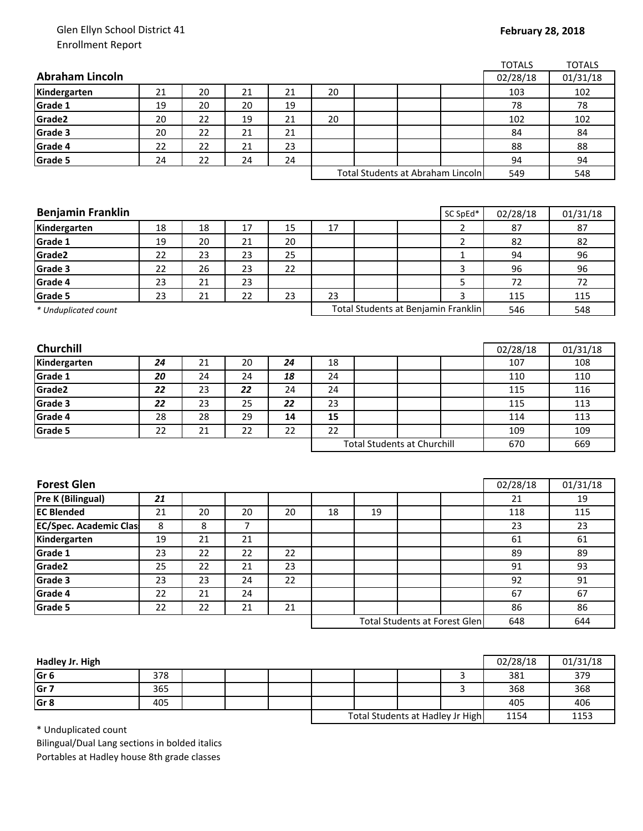## Glen Ellyn School District 41 Enrollment Report

| <b>Abraham Lincoln</b><br>02/28/18<br>20<br>21<br>21<br>21<br>20<br>Kindergarten<br>103<br>Grade 1<br>20<br>20<br>19<br>78<br>19<br>Grade2<br>22<br>19<br>21<br>20<br>20<br>102<br>Grade 3<br>22<br>21<br>21<br>84<br>20<br>Grade 4<br>22<br>22<br>21<br>23<br>88<br>22<br>Grade 5<br>24<br>24<br>24<br>94<br>Total Students at Abraham Lincoln<br>549<br><b>Benjamin Franklin</b><br>SC SpEd*<br>02/28/18<br>18<br>17<br>15<br>$\overline{2}$<br>18<br>17<br>87<br>$\overline{2}$<br>Grade 1<br>20<br>21<br>20<br>19<br>82<br>Grade2<br>23<br>23<br>25<br>$\mathbf{1}$<br>22<br>94<br>Grade 3<br>26<br>3<br>23<br>22<br>96<br>22<br>5<br>Grade 4<br>21<br>23<br>23<br>72<br>Grade 5<br>23<br>21<br>22<br>23<br>23<br>3<br>115<br>Total Students at Benjamin Franklin<br>546<br>* Unduplicated count<br>Churchill<br>02/28/18<br>Kindergarten<br>21<br>20<br>107<br>24<br>24<br>18<br>Grade 1<br>24<br>24<br>20<br>18<br>24<br>110<br>Grade2<br>23<br>22<br>24<br>24<br>115<br>22 | 01/31/18<br>102<br>78<br>102<br>84<br>88<br>94<br>548<br>01/31/18<br>87<br>82<br>96<br>96<br>72<br>115<br>548 |
|-----------------------------------------------------------------------------------------------------------------------------------------------------------------------------------------------------------------------------------------------------------------------------------------------------------------------------------------------------------------------------------------------------------------------------------------------------------------------------------------------------------------------------------------------------------------------------------------------------------------------------------------------------------------------------------------------------------------------------------------------------------------------------------------------------------------------------------------------------------------------------------------------------------------------------------------------------------------------------------|---------------------------------------------------------------------------------------------------------------|
|                                                                                                                                                                                                                                                                                                                                                                                                                                                                                                                                                                                                                                                                                                                                                                                                                                                                                                                                                                                   |                                                                                                               |
|                                                                                                                                                                                                                                                                                                                                                                                                                                                                                                                                                                                                                                                                                                                                                                                                                                                                                                                                                                                   |                                                                                                               |
|                                                                                                                                                                                                                                                                                                                                                                                                                                                                                                                                                                                                                                                                                                                                                                                                                                                                                                                                                                                   |                                                                                                               |
| Kindergarten                                                                                                                                                                                                                                                                                                                                                                                                                                                                                                                                                                                                                                                                                                                                                                                                                                                                                                                                                                      |                                                                                                               |
|                                                                                                                                                                                                                                                                                                                                                                                                                                                                                                                                                                                                                                                                                                                                                                                                                                                                                                                                                                                   |                                                                                                               |
|                                                                                                                                                                                                                                                                                                                                                                                                                                                                                                                                                                                                                                                                                                                                                                                                                                                                                                                                                                                   |                                                                                                               |
|                                                                                                                                                                                                                                                                                                                                                                                                                                                                                                                                                                                                                                                                                                                                                                                                                                                                                                                                                                                   |                                                                                                               |
|                                                                                                                                                                                                                                                                                                                                                                                                                                                                                                                                                                                                                                                                                                                                                                                                                                                                                                                                                                                   |                                                                                                               |
|                                                                                                                                                                                                                                                                                                                                                                                                                                                                                                                                                                                                                                                                                                                                                                                                                                                                                                                                                                                   |                                                                                                               |
|                                                                                                                                                                                                                                                                                                                                                                                                                                                                                                                                                                                                                                                                                                                                                                                                                                                                                                                                                                                   |                                                                                                               |
|                                                                                                                                                                                                                                                                                                                                                                                                                                                                                                                                                                                                                                                                                                                                                                                                                                                                                                                                                                                   |                                                                                                               |
|                                                                                                                                                                                                                                                                                                                                                                                                                                                                                                                                                                                                                                                                                                                                                                                                                                                                                                                                                                                   |                                                                                                               |
|                                                                                                                                                                                                                                                                                                                                                                                                                                                                                                                                                                                                                                                                                                                                                                                                                                                                                                                                                                                   |                                                                                                               |
|                                                                                                                                                                                                                                                                                                                                                                                                                                                                                                                                                                                                                                                                                                                                                                                                                                                                                                                                                                                   |                                                                                                               |
|                                                                                                                                                                                                                                                                                                                                                                                                                                                                                                                                                                                                                                                                                                                                                                                                                                                                                                                                                                                   |                                                                                                               |
|                                                                                                                                                                                                                                                                                                                                                                                                                                                                                                                                                                                                                                                                                                                                                                                                                                                                                                                                                                                   |                                                                                                               |
|                                                                                                                                                                                                                                                                                                                                                                                                                                                                                                                                                                                                                                                                                                                                                                                                                                                                                                                                                                                   |                                                                                                               |
|                                                                                                                                                                                                                                                                                                                                                                                                                                                                                                                                                                                                                                                                                                                                                                                                                                                                                                                                                                                   |                                                                                                               |
|                                                                                                                                                                                                                                                                                                                                                                                                                                                                                                                                                                                                                                                                                                                                                                                                                                                                                                                                                                                   |                                                                                                               |
|                                                                                                                                                                                                                                                                                                                                                                                                                                                                                                                                                                                                                                                                                                                                                                                                                                                                                                                                                                                   |                                                                                                               |
|                                                                                                                                                                                                                                                                                                                                                                                                                                                                                                                                                                                                                                                                                                                                                                                                                                                                                                                                                                                   | 01/31/18                                                                                                      |
|                                                                                                                                                                                                                                                                                                                                                                                                                                                                                                                                                                                                                                                                                                                                                                                                                                                                                                                                                                                   | 108                                                                                                           |
|                                                                                                                                                                                                                                                                                                                                                                                                                                                                                                                                                                                                                                                                                                                                                                                                                                                                                                                                                                                   | 110                                                                                                           |
|                                                                                                                                                                                                                                                                                                                                                                                                                                                                                                                                                                                                                                                                                                                                                                                                                                                                                                                                                                                   | 116                                                                                                           |
| Grade 3<br>23<br>22<br>25<br>22<br>23<br>115                                                                                                                                                                                                                                                                                                                                                                                                                                                                                                                                                                                                                                                                                                                                                                                                                                                                                                                                      | 113                                                                                                           |
| Grade 4<br>28<br>29<br>28<br>14<br>15<br>114                                                                                                                                                                                                                                                                                                                                                                                                                                                                                                                                                                                                                                                                                                                                                                                                                                                                                                                                      | 113                                                                                                           |
| 22<br>Grade 5<br>21<br>22<br>22<br>22<br>109                                                                                                                                                                                                                                                                                                                                                                                                                                                                                                                                                                                                                                                                                                                                                                                                                                                                                                                                      | 109                                                                                                           |
| <b>Total Students at Churchill</b><br>670                                                                                                                                                                                                                                                                                                                                                                                                                                                                                                                                                                                                                                                                                                                                                                                                                                                                                                                                         | 669                                                                                                           |
|                                                                                                                                                                                                                                                                                                                                                                                                                                                                                                                                                                                                                                                                                                                                                                                                                                                                                                                                                                                   |                                                                                                               |
|                                                                                                                                                                                                                                                                                                                                                                                                                                                                                                                                                                                                                                                                                                                                                                                                                                                                                                                                                                                   |                                                                                                               |
| <b>Forest Glen</b><br>02/28/18                                                                                                                                                                                                                                                                                                                                                                                                                                                                                                                                                                                                                                                                                                                                                                                                                                                                                                                                                    | 01/31/18                                                                                                      |
| Pre K (Bilingual)<br>21<br>21                                                                                                                                                                                                                                                                                                                                                                                                                                                                                                                                                                                                                                                                                                                                                                                                                                                                                                                                                     | 19                                                                                                            |
| <b>EC Blended</b><br>21<br>20<br>20<br>20<br>18<br>19<br>118                                                                                                                                                                                                                                                                                                                                                                                                                                                                                                                                                                                                                                                                                                                                                                                                                                                                                                                      | 115                                                                                                           |
| <b>EC/Spec. Academic Clas</b><br>7<br>8<br>8<br>23                                                                                                                                                                                                                                                                                                                                                                                                                                                                                                                                                                                                                                                                                                                                                                                                                                                                                                                                | 23                                                                                                            |
| 21<br>21<br>Kindergarten<br>19<br>61                                                                                                                                                                                                                                                                                                                                                                                                                                                                                                                                                                                                                                                                                                                                                                                                                                                                                                                                              | 61                                                                                                            |
| Grade 1<br>23<br>22<br>22<br>22<br>89                                                                                                                                                                                                                                                                                                                                                                                                                                                                                                                                                                                                                                                                                                                                                                                                                                                                                                                                             | 89                                                                                                            |
| Grade2<br>25<br>22<br>21<br>23<br>91                                                                                                                                                                                                                                                                                                                                                                                                                                                                                                                                                                                                                                                                                                                                                                                                                                                                                                                                              | 93                                                                                                            |
| Grade 3<br>23<br>23<br>24<br>22<br>92                                                                                                                                                                                                                                                                                                                                                                                                                                                                                                                                                                                                                                                                                                                                                                                                                                                                                                                                             | 91                                                                                                            |
| 21<br>Grade 4<br>22<br>24<br>67                                                                                                                                                                                                                                                                                                                                                                                                                                                                                                                                                                                                                                                                                                                                                                                                                                                                                                                                                   | 67                                                                                                            |
| 21<br>Grade 5<br>22<br>21<br>22<br>86                                                                                                                                                                                                                                                                                                                                                                                                                                                                                                                                                                                                                                                                                                                                                                                                                                                                                                                                             | 86                                                                                                            |
| <b>Total Students at Forest Glen</b><br>648                                                                                                                                                                                                                                                                                                                                                                                                                                                                                                                                                                                                                                                                                                                                                                                                                                                                                                                                       | 644                                                                                                           |

| Hadley Jr. High |     |  |                                  |  |      | 02/28/18 | 01/31/18 |
|-----------------|-----|--|----------------------------------|--|------|----------|----------|
| Gr 6            | 378 |  |                                  |  |      | 381      | 379      |
| Gr 7            | 365 |  |                                  |  |      | 368      | 368      |
| Gr 8            | 405 |  |                                  |  |      | 405      | 406      |
|                 |     |  | Total Students at Hadley Jr High |  | 1154 | 1153     |          |

\* Unduplicated count

Bilingual/Dual Lang sections in bolded italics Portables at Hadley house 8th grade classes